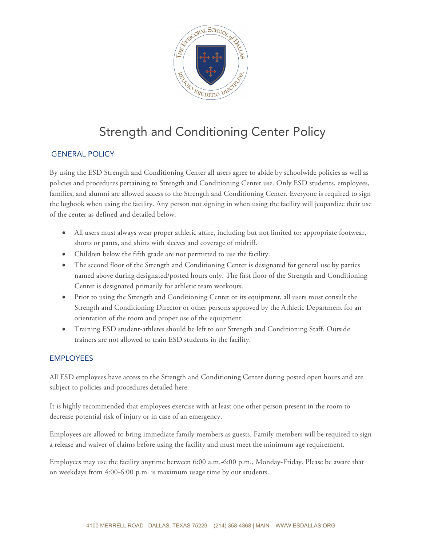

# Strength and Conditioning Center Policy

## GENERAL POLICY

By using the ESD Strength and Conditioning Center all users agree to abide by schoolwide policies as well as policies and procedures pertaining to Strength and Conditioning Center use. Only ESD students, employees, families, and alumni are allowed access to the Strength and Conditioning Center. Everyone is required to sign the logbook when using the facility. Any person not signing in when using the facility will jeopardize their use of the center as defined and detailed below.

- All users must always wear proper athletic attire, including but not limited to: appropriate footwear, shorts or pants, and shirts with sleeves and coverage of midriff.
- Children below the fifth grade are not permitted to use the facility.
- The second floor of the Strength and Conditioning Center is designated for general use by parties named above during designated/posted hours only. The first floor of the Strength and Conditioning Center is designated primarily for athletic team workouts.
- Prior to using the Strength and Conditioning Center or its equipment, all users must consult the Strength and Conditioning Director or other persons approved by the Athletic Department for an orientation of the room and proper use of the equipment.
- Training ESD student-athletes should be left to our Strength and Conditioning Staff. Outside trainers are not allowed to train ESD students in the facility.

#### EMPLOYEES

All ESD employees have access to the Strength and Conditioning Center during posted open hours and are subject to policies and procedures detailed here.

It is highly recommended that employees exercise with at least one other person present in the room to decrease potential risk of injury or in case of an emergency.

Employees are allowed to bring immediate family members as guests. Family members will be required to sign a release and waiver of claims before using the facility and must meet the minimum age requirement.

Employees may use the facility anytime between 6:00 a.m.-6:00 p.m., Monday-Friday. Please be aware that on weekdays from 4:00-6:00 p.m. is maximum usage time by our students.